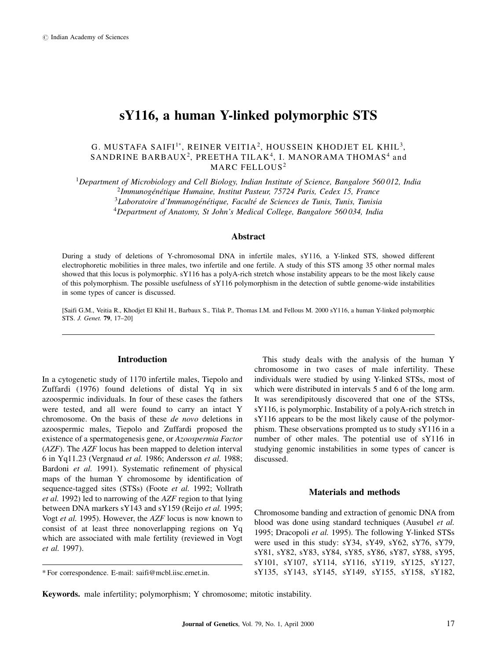# sY116, a human Y-linked polymorphic STS

## G. MUSTAFA SAIFI $^{\rm l*}$ , REINER VEITIA $^{\rm 2}$ , HOUSSEIN KHODJET EL KHIL $^{\rm 3}$ , SANDRINE BARBAUX<sup>2</sup>, PREETHA TILAK<sup>4</sup>, I. MANORAMA THOMAS<sup>4</sup> and MARC FELLOUS<sup>2</sup>

<sup>1</sup>Department of Microbiology and Cell Biology, Indian Institute of Science, Bangalore 560012, India Immunogénétique Humaine, Institut Pasteur, 75724 Paris, Cedex 15, France Laboratoire d'Immunogénétique, Faculté de Sciences de Tunis, Tunis, Tunisia Department of Anatomy, St John's Medical College, Bangalore 560034, India

## Abstract

During a study of deletions of Y-chromosomal DNA in infertile males, sY116, a Y-linked STS, showed different electrophoretic mobilities in three males, two infertile and one fertile. A study of this STS among 35 other normal males showed that this locus is polymorphic. sY116 has a polyA-rich stretch whose instability appears to be the most likely cause of this polymorphism. The possible usefulness of sY116 polymorphism in the detection of subtle genome-wide instabilities in some types of cancer is discussed.

[Saifi G.M., Veitia R., Khodjet El Khil H., Barbaux S., Tilak P., Thomas I.M. and Fellous M. 2000 sY116, a human Y-linked polymorphic STS. J. Genet. 79, 17-20]

## Introduction

In a cytogenetic study of 1170 infertile males, Tiepolo and Zuffardi (1976) found deletions of distal Yq in six azoospermic individuals. In four of these cases the fathers were tested, and all were found to carry an intact Y chromosome. On the basis of these de novo deletions in azoospermic males, Tiepolo and Zuffardi proposed the existence of a spermatogenesis gene, or Azoospermia Factor (AZF). The AZF locus has been mapped to deletion interval 6 in Yq11.23 (Vergnaud et al. 1986; Andersson et al. 1988; Bardoni et al. 1991). Systematic refinement of physical maps of the human Y chromosome by identification of sequence-tagged sites (STSs) (Foote et al. 1992; Vollrath et al. 1992) led to narrowing of the AZF region to that lying between DNA markers sY143 and sY159 (Reijo et al. 1995; Vogt et al. 1995). However, the AZF locus is now known to consist of at least three nonoverlapping regions on Yq which are associated with male fertility (reviewed in Vogt et al. 1997).

This study deals with the analysis of the human Y chromosome in two cases of male infertility. These individuals were studied by using Y-linked STSs, most of which were distributed in intervals 5 and 6 of the long arm. It was serendipitously discovered that one of the STSs, sY116, is polymorphic. Instability of a polyA-rich stretch in sY116 appears to be the most likely cause of the polymorphism. These observations prompted us to study sY116 in a number of other males. The potential use of sY116 in studying genomic instabilities in some types of cancer is discussed.

#### Materials and methods

Chromosome banding and extraction of genomic DNA from blood was done using standard techniques (Ausubel et al. 1995; Dracopoli et al. 1995). The following Y-linked STSs were used in this study: sY34, sY49, sY62, sY76, sY79, sY81, sY82, sY83, sY84, sY85, sY86, sY87, sY88, sY95, sY101, sY107, sY114, sY116, sY119, sY125, sY127, sY135, sY143, sY145, sY149, sY155, sY158, sY182,

Keywords. male infertility; polymorphism; Y chromosome; mitotic instability.

<sup>\*</sup> For correspondence. E-mail: saifi@mcbl.iisc.ernet.in.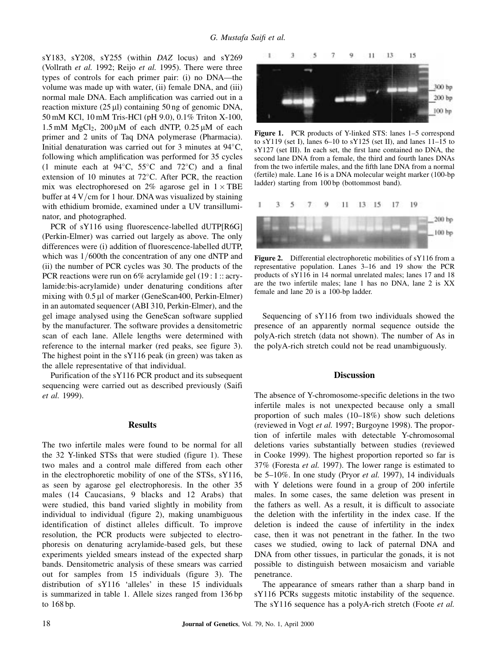sY183, sY208, sY255 (within DAZ locus) and sY269 (Vollrath et al. 1992; Reijo et al. 1995). There were three types of controls for each primer pair: (i) no DNA-the volume was made up with water, (ii) female DNA, and (iii) normal male DNA. Each amplification was carried out in a reaction mixture  $(25 \mu l)$  containing 50 ng of genomic DNA, 50 mM KCl, 10 mM Tris-HCl (pH 9.0), 0.1% Triton X-100,  $1.5 \text{ mM } MgCl<sub>2</sub>$ ,  $200 \mu \text{M}$  of each dNTP,  $0.25 \mu \text{M}$  of each primer and 2 units of Taq DNA polymerase (Pharmacia). Initial denaturation was carried out for 3 minutes at  $94^{\circ}$ C, following which amplification was performed for 35 cycles (1 minute each at 94 $\degree$ C, 55 $\degree$ C and 72 $\degree$ C) and a final extension of 10 minutes at  $72^{\circ}$ C. After PCR, the reaction mix was electrophoresed on 2% agarose gel in  $1 \times \text{TBE}$ buffer at  $4 V/cm$  for 1 hour. DNA was visualized by staining with ethidium bromide, examined under a UV transilluminator, and photographed.

PCR of sY116 using fluorescence-labelled dUTP[R6G] (Perkin-Elmer) was carried out largely as above. The only differences were (i) addition of fluorescence-labelled dUTP, which was  $1/600$ th the concentration of any one dNTP and (ii) the number of PCR cycles was 30. The products of the PCR reactions were run on 6% acrylamide gel (19 : 1 :: acrylamide:bis-acrylamide) under denaturing conditions after mixing with 0.5 ul of marker (GeneScan400, Perkin-Elmer) in an automated sequencer (ABI 310, Perkin-Elmer), and the gel image analysed using the GeneScan software supplied by the manufacturer. The software provides a densitometric scan of each lane. Allele lengths were determined with reference to the internal marker (red peaks, see figure 3). The highest point in the sY116 peak (in green) was taken as the allele representative of that individual.

Purification of the sY116 PCR product and its subsequent sequencing were carried out as described previously (Saifi et al. 1999).

## Results

The two infertile males were found to be normal for all the 32 Y-linked STSs that were studied (figure 1). These two males and a control male differed from each other in the electrophoretic mobility of one of the STSs, sY116, as seen by agarose gel electrophoresis. In the other 35 males (14 Caucasians, 9 blacks and 12 Arabs) that were studied, this band varied slightly in mobility from individual to individual (figure 2), making unambiguous identification of distinct alleles difficult. To improve resolution, the PCR products were subjected to electrophoresis on denaturing acrylamide-based gels, but these experiments yielded smears instead of the expected sharp bands. Densitometric analysis of these smears was carried out for samples from 15 individuals (figure 3). The distribution of sY116 `alleles' in these 15 individuals is summarized in table 1. Allele sizes ranged from 136 bp to 168 bp.



Figure 1. PCR products of Y-linked STS: lanes 1–5 correspond to sY119 (set I), lanes  $6-10$  to sY125 (set II), and lanes  $11-15$  to  $sY127$  (set III). In each set, the first lane contained no DNA, the second lane DNA from a female, the third and fourth lanes DNAs from the two infertile males, and the fifth lane DNA from a normal (fertile) male. Lane 16 is a DNA molecular weight marker (100-bp ladder) starting from 100 bp (bottommost band).



Figure 2. Differential electrophoretic mobilities of sY116 from a representative population. Lanes 3-16 and 19 show the PCR products of sY116 in 14 normal unrelated males; lanes 17 and 18 are the two infertile males; lane 1 has no DNA, lane 2 is XX female and lane 20 is a 100-bp ladder.

Sequencing of sY116 from two individuals showed the presence of an apparently normal sequence outside the polyA-rich stretch (data not shown). The number of As in the polyA-rich stretch could not be read unambiguously.

### **Discussion**

The absence of Y-chromosome-specific deletions in the two infertile males is not unexpected because only a small proportion of such males  $(10-18%)$  show such deletions (reviewed in Vogt et al. 1997; Burgoyne 1998). The proportion of infertile males with detectable Y-chromosomal deletions varies substantially between studies (reviewed in Cooke 1999). The highest proportion reported so far is 37% (Foresta et al. 1997). The lower range is estimated to be  $5-10\%$ . In one study (Pryor *et al.* 1997), 14 individuals with Y deletions were found in a group of 200 infertile males. In some cases, the same deletion was present in the fathers as well. As a result, it is difficult to associate the deletion with the infertility in the index case. If the deletion is indeed the cause of infertility in the index case, then it was not penetrant in the father. In the two cases we studied, owing to lack of paternal DNA and DNA from other tissues, in particular the gonads, it is not possible to distinguish between mosaicism and variable penetrance.

The appearance of smears rather than a sharp band in sY116 PCRs suggests mitotic instability of the sequence. The sY116 sequence has a polyA-rich stretch (Foote *et al.*)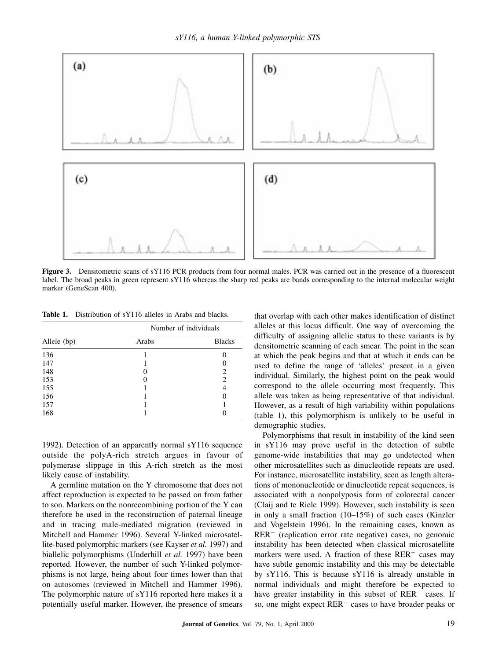

Figure 3. Densitometric scans of sY116 PCR products from four normal males. PCR was carried out in the presence of a fluorescent label. The broad peaks in green represent sY116 whereas the sharp red peaks are bands corresponding to the internal molecular weight marker (GeneScan 400).

Table 1. Distribution of sY116 alleles in Arabs and blacks.

| Allele (bp) | Number of individuals |               |
|-------------|-----------------------|---------------|
|             | Arabs                 | <b>Blacks</b> |
| 136         |                       |               |
| 147         |                       |               |
| 148         |                       | 2             |
| 153         |                       | 2             |
| 155         |                       | 4             |
| 156         |                       |               |
| 157         |                       |               |
| 168         |                       |               |

1992). Detection of an apparently normal sY116 sequence outside the polyA-rich stretch argues in favour of polymerase slippage in this A-rich stretch as the most likely cause of instability.

A germline mutation on the Y chromosome that does not affect reproduction is expected to be passed on from father to son. Markers on the nonrecombining portion of the Y can therefore be used in the reconstruction of paternal lineage and in tracing male-mediated migration (reviewed in Mitchell and Hammer 1996). Several Y-linked microsatellite-based polymorphic markers (see Kayser et al. 1997) and biallelic polymorphisms (Underhill et al. 1997) have been reported. However, the number of such Y-linked polymorphisms is not large, being about four times lower than that on autosomes (reviewed in Mitchell and Hammer 1996). The polymorphic nature of sY116 reported here makes it a potentially useful marker. However, the presence of smears that overlap with each other makes identification of distinct alleles at this locus difficult. One way of overcoming the difficulty of assigning allelic status to these variants is by densitometric scanning of each smear. The point in the scan at which the peak begins and that at which it ends can be used to define the range of `alleles' present in a given individual. Similarly, the highest point on the peak would correspond to the allele occurring most frequently. This allele was taken as being representative of that individual. However, as a result of high variability within populations (table 1), this polymorphism is unlikely to be useful in demographic studies.

Polymorphisms that result in instability of the kind seen in sY116 may prove useful in the detection of subtle genome-wide instabilities that may go undetected when other microsatellites such as dinucleotide repeats are used. For instance, microsatellite instability, seen as length alterations of mononucleotide or dinucleotide repeat sequences, is associated with a nonpolyposis form of colorectal cancer (Claij and te Riele 1999). However, such instability is seen in only a small fraction  $(10-15%)$  of such cases (Kinzler and Vogelstein 1996). In the remaining cases, known as  $RER^-$  (replication error rate negative) cases, no genomic instability has been detected when classical microsatellite markers were used. A fraction of these  $RER$ <sup>-</sup> cases may have subtle genomic instability and this may be detectable by sY116. This is because sY116 is already unstable in normal individuals and might therefore be expected to have greater instability in this subset of  $RER$ <sup> $-$ </sup> cases. If so, one might expect RER<sup>-</sup> cases to have broader peaks or